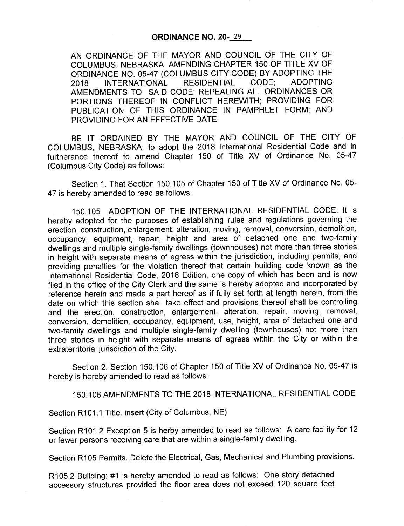## ORDINANCE NO. 20- <sup>29</sup>

AN ORDINANCE OF THE MAYOR AND COUNCIL OF THE CITY OF COLUMBUS, NEBRASKA, AMENDING CHAPTER 150 OF TITLE XV OF ORDINANCE NO. 05-47 (COLUMBUS CITY CODE) BY ADOPTING THE 2018 INTERNATIONAL RESIDENTIAL CODE; ADOPTING AMENDMENTS TO SAID CODE; REPEALING ALL ORDINANCES OR PORTIONS THEREOF IN CONFLICT HEREWITH; PROVIDING FOR PUBLICATION OF THIS ORDINANCE IN PAMPHLET FORM; AND PROVIDING FOR AN EFFECTIVE DATE.

BE IT ORDAINED BY THE MAYOR AND COUNCIL OF THE CITY OF COLUMBUS, NEBRASKA, to adopt the 2018 International Residential Code and in furtherance thereof to amend Chapter 150 of Title XV of Ordinance No. 05-47 Columbus City Code) as follows:

Section 1. That Section 150. 105 of Chapter 150 of Title XV of Ordinance No. 05- 47 is hereby amended to read as follows:

150. 105 ADOPTION OF THE INTERNATIONAL RESIDENTIAL CODE: It is hereby adopted for the purposes of establishing rules and regulations governing the erection, construction, enlargement, alteration, moving, removal, conversion, demolition, occupancy, equipment, repair, height and area of detached one and two-family dwellings and multiple single-family dwellings ( townhouses) not more than three stories in height with separate means of egress within the jurisdiction, including permits, and providing penalties for the violation thereof that certain building code known as the International Residential Code, 2018 Edition, one copy of which has been and is now filed in the office of the City Clerk and the same is hereby adopted and incorporated by reference herein and made a part hereof as if fully set forth at length herein, from the date on which this section shall take effect and provisions thereof shall be controlling and the erection, construction, enlargement, alteration, repair, moving, removal, conversion, demolition, occupancy, equipment, use, height, area of detached one and two-family dwellings and multiple single- family dwelling (townhouses) not more than three stories in height with separate means of egress within the City or within the extraterritorial jurisdiction of the City.

Section 2. Section 150. 106 of Chapter 150 of Title XV of Ordinance No. 05-47 is hereby is hereby amended to read as follows:

150. 106 AMENDMENTS TO THE 2018 INTERNATIONAL RESIDENTIAL CODE

Section R101.1 Title. insert (City of Columbus, NE)

Section R101.2 Exception 5 is herby amended to read as follows: A care facility for 12 or fewer persons receiving care that are within a single-family dwelling.

Section R105 Permits. Delete the Electrical, Gas, Mechanical and Plumbing provisions.

R105.2 Building: #1 is hereby amended to read as follows: One story detached accessory structures provided the floor area does not exceed <sup>120</sup> square feet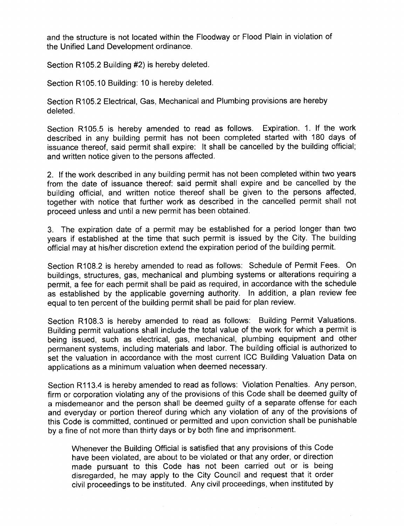and the structure is not located within the Floodway or Flood Plain in violation of the Unified Land Development ordinance.

Section R105.2 Building #2) is hereby deleted.

Section R105. 10 Building: 10 is hereby deleted.

Section R105.2 Electrical, Gas, Mechanical and Plumbing provisions are hereby deleted.

Section R105.5 is hereby amended to read as follows. Expiration. 1. If the work described in any building permit has not been completed started with 180 days of issuance thereof, said permit shall expire: It shall be cancelled by the building official; and written notice given to the persons affected.

2. If the work described in any building permit has not been completed within two years from the date of issuance thereof: said permit shall expire and be cancelled by the building official, and written notice thereof shall be given to the persons affected, together with notice that further work as described in the cancelled permit shall not proceed unless and until a new permit has been obtained.

3. The expiration date of a permit may be established for a period longer than two years if established at the time that such permit is issued by the City. The building official may at his/her discretion extend the expiration period of the building permit.

Section R108.2 is hereby amended to read as follows: Schedule of Permit Fees. On buildings, structures, gas, mechanical and plumbing systems or alterations requiring a permit, a fee for each permit shall be paid as required, in accordance with the schedule as established by the applicable governing authority. In addition, a plan review fee equal to ten percent of the building permit shall be paid for plan review.

Section R108.3 is hereby amended to read as follows: Building Permit Valuations. Building permit valuations shall include the total value of the work for which a permit is being issued, such as electrical, gas, mechanical, plumbing equipment and other permanent systems, including materials and labor. The building official is authorized to set the valuation in accordance with the most current ICC Building Valuation Data on applications as a minimum valuation when deemed necessary.

Section R113.4 is hereby amended to read as follows: Violation Penalties. Any person, firm or corporation violating any of the provisions of this Code shall be deemed guilty of a misdemeanor and the person shall be deemed guilty of a separate offense for each and everyday or portion thereof during which any violation of any of the provisions of this Code is committed, continued or permitted and upon conviction shall be punishable by a fine of not more than thirty days or by both fine and imprisonment.

Whenever the Building Official is satisfied that any provisions of this Code have been violated, are about to be violated or that any order, or direction made pursuant to this Code has not been carried out or is being disregarded, he may apply to the City Council and request that it order civil proceedings to be instituted. Any civil proceedings, when instituted by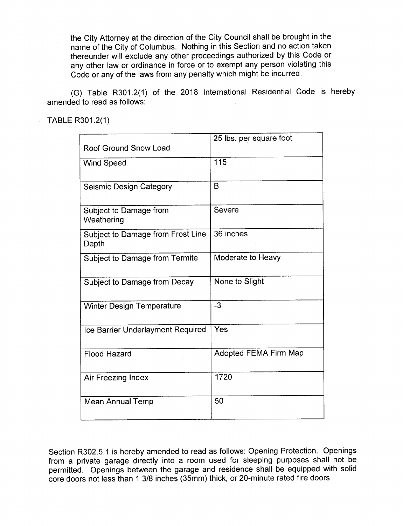the City Attorney at the direction of the City Council shall be brought in the name of the City of Columbus. Nothing in this Section and no action taken thereunder will exclude any other proceedings authorized by this Code or any other law or ordinance in force or to exempt any person violating this Code or any of the laws from any penalty which might be incurred.

(G) Table R301.2(1) of the 2018 International Residential Code is hereby amended to read as follows:

TABLE R301.2(1)

| Roof Ground Snow Load                      | 25 lbs. per square foot      |
|--------------------------------------------|------------------------------|
| <b>Wind Speed</b>                          | 115                          |
|                                            |                              |
| Seismic Design Category                    | B                            |
| Subject to Damage from<br>Weathering       | Severe                       |
| Subject to Damage from Frost Line<br>Depth | 36 inches                    |
| Subject to Damage from Termite             | Moderate to Heavy            |
| Subject to Damage from Decay               | None to Slight               |
| <b>Winter Design Temperature</b>           | $-3$                         |
| Ice Barrier Underlayment Required          | Yes                          |
| <b>Flood Hazard</b>                        | <b>Adopted FEMA Firm Map</b> |
| Air Freezing Index                         | 1720                         |
| <b>Mean Annual Temp</b>                    | 50                           |

Section R302.5.1 is hereby amended to read as follows: Opening Protection. Openings from a private garage directly into a room used for sleeping purposes shall not be permitted. Openings between the garage and residence shall be equipped with solid core doors not less than 1 3/8 inches (35mm) thick, or 20-minute rated fire doors.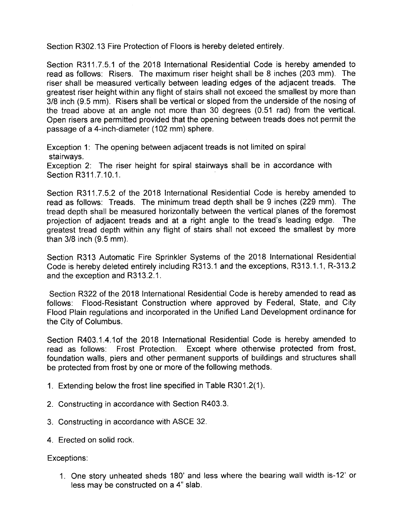Section R302. 13 Fire Protection of Floors is hereby deleted entirely.

Section R311.7.5.1 of the 2018 International Residential Code is hereby amended to read as follows: Risers. The maximum riser height shall be 8 inches (203 mm). The riser shall be measured vertically between leading edges of the adjacent treads. The greatest riser height within any flight of stairs shall not exceed the smallest by more than 3/8 inch (9.5 mm). Risers shall be vertical or sloped from the underside of the nosing of the tread above at an angle not more than 30 degrees (0.51 rad) from the vertical. Open risers are permitted provided that the opening between treads does not permit the passage of a 4-inch-diameter (102 mm) sphere.

Exception 1: The opening between adjacent treads is not limited on spiral stairways. Exception 2: The riser height for spiral stairways shall be in accordance with Section R311.7.10.1.

Section R311.7.5.2 of the 2018 International Residential Code is hereby amended to read as follows: Treads. The minimum tread depth shall be 9 inches ( 229 mm). The tread depth shall be measured horizontally between the vertical planes of the foremost projection of adjacent treads and at a right angle to the tread's leading edge. The greatest tread depth within any flight of stairs shall not exceed the smallest by more than  $3/8$  inch  $(9.5$  mm).

Section R313 Automatic Fire Sprinkler Systems of the 2018 International Residential Code is hereby deleted entirely including R313.1 and the exceptions, R313.1.1, R-313.2 and the exception and R313.2.1.

Section R322 of the 2018 International Residential Code is hereby amended to read as follows: Flood-Resistant Construction where approved by Federal, State, and City Flood Plain regulations and incorporated in the Unified Land Development ordinance for the City of Columbus.

Section R403.1.4.1of the 2018 International Residential Code is hereby amended to read as follows: Frost Protection. Except where otherwise protected from frost, foundation walls, piers and other permanent supports of buildings and structures shall be protected from frost by one or more of the following methods.

- 1. Extending below the frost line specified in Table R301. 2( 1).
- 2. Constructing in accordance with Section R403. 3.
- 3. Constructing in accordance with ASCE 32.
- 4. Erected on solid rock.

## Exceptions:

1. One story unheated sheds 180' and less where the bearing wall width is- 12' or less may be constructed on <sup>a</sup> 4" slab.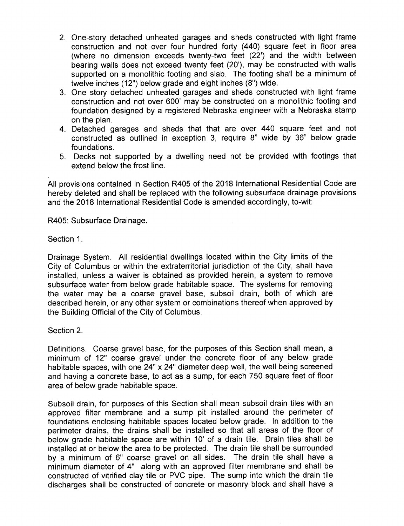- 2. One-story detached unheated garages and sheds constructed with light frame construction and not over four hundred forty (440) square feet in floor area (where no dimension exceeds twenty-two feet (22') and the width between bearing walls does not exceed twenty feet (20'), may be constructed with walls supported on a monolithic footing and slab. The footing shall be a minimum of twelve inches (12") below grade and eight inches (8") wide.
- 3. One story detached unheated garages and sheds constructed with light frame construction and not over 600' may be constructed on a monolithic footing and foundation designed by a registered Nebraska engineer with a Nebraska stamp on the plan.
- 4. Detached garages and sheds that that are over 440 square feet and not constructed as outlined in exception 3, require 8" wide by 36" below grade foundations.
- 5. Decks not supported by a dwelling need not be provided with footings that extend below the frost line.

All provisions contained in Section R405 of the 2018 International Residential Code are hereby deleted and shall be replaced with the following subsurface drainage provisions and the 2018 International Residential Code is amended accordingly, to-wit:

R405: Subsurface Drainage.

Section 1.

Drainage System. All residential dwellings located within the City limits of the City of Columbus or within the extraterritorial jurisdiction of the City, shall have installed, unless a waiver is obtained as provided herein, a system to remove subsurface water from below grade habitable space. The systems for removing the water may be <sup>a</sup> coarse gravel base, subsoil drain, both of which are described herein, or any other system or combinations thereof when approved by the Building Official of the City of Columbus.

Section 2.

Definitions. Coarse gravel base, for the purposes of this Section shall mean, a minimum of 12" coarse gravel under the concrete floor of any below grade habitable spaces, with one 24" x 24" diameter deep well, the well being screened and having a concrete base, to act as a sump, for each 750 square feet of floor area of below grade habitable space.

Subsoil drain, for purposes of this Section shall mean subsoil drain tiles with an approved filter membrane and a sump pit installed around the perimeter of foundations enclosing habitable spaces located below grade. In addition to the perimeter drains, the drains shall be installed so that all areas of the floor of below grade habitable space are within 10' of a drain tile. Drain tiles shall be installed at or below the area to be protected. The drain tile shall be surrounded by <sup>a</sup> minimum of 6" coarse gravel on all sides. The drain tile shall have <sup>a</sup> minimum diameter of 4" along with an approved filter membrane and shall be constructed of vitrified clay tile or PVC pipe. The sump into which the drain tile discharges shall be constructed of concrete or masonry block and shall have <sup>a</sup>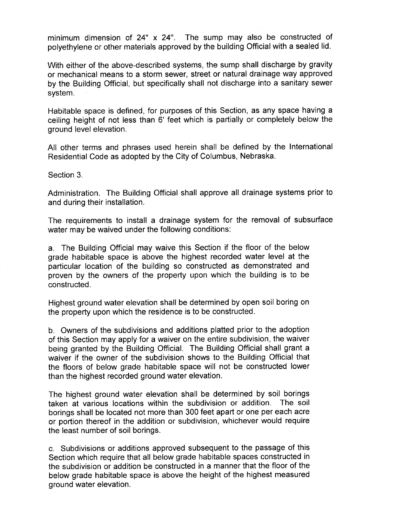minimum dimension of 24" x 24". The sump may also be constructed of polyethylene or other materials approved by the building Official with a sealed lid.

With either of the above-described systems, the sump shall discharge by gravity or mechanical means to a storm sewer, street or natural drainage way approved by the. Building Official, but specifically shall not discharge into a sanitary sewer system.

Habitable space is defined, for purposes of this Section, as any space having a ceiling height of not less than 6' feet which is partially or completely below the ground level elevation.

All other terms and phrases used herein shall be defined by the International Residential Code as adopted by the City of Columbus, Nebraska.

Section 3.

Administration. The Building Official shall approve all drainage systems prior to and during their installation.

The requirements to install a drainage system for the removal of subsurface water may be waived under the following conditions:

a. The Building Official may waive this Section if the floor of the below grade habitable space is above the highest recorded water level at the particular location of the building so constructed as demonstrated and proven by the owners of the property upon which the building is to be constructed.

Highest ground water elevation shall be determined by open soil boring on the property upon which the residence is to be constructed.

b. Owners of the subdivisions and additions platted prior to the adoption of this Section may apply for a waiver on the entire subdivision, the waiver being granted by the Building Official. The Building Official shall grant a waiver if the owner of the subdivision shows to the Building Official that the floors of below grade habitable space will not be constructed lower than the highest recorded ground water elevation.

The highest ground water elevation shall be determined by soil borings taken at various locations within the subdivision or addition. The soil borings shall be located not more than 300 feet apart or one per each acre or portion thereof in the addition or subdivision, whichever would require the least number of soil borings.

c. Subdivisions or additions approved subsequent to the passage of this Section which require that all below grade habitable spaces constructed in the subdivision or addition be constructed in a manner that the floor of the below grade habitable space is above the height of the highest measured ground water elevation.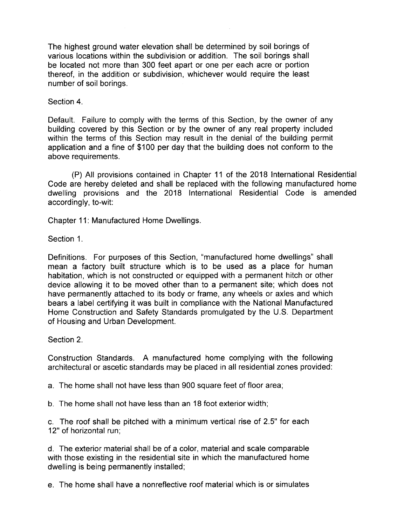The highest ground water elevation shall be determined by soil borings of various locations within the subdivision or addition. The soil borings shall be located not more than 300 feet apart or one per each acre or portion thereof, in the addition or subdivision, whichever would require the least number of soil borings.

Section 4.

Default. Failure to comply with the terms of this Section, by the owner of any building covered by this Section or by the owner of any real property included within the terms of this Section may result in the denial of the building permit application and a fine of \$100 per day that the building does not conform to the above requirements.

P) All provisions contained in Chapter 11 of the 2018 International Residential Code are hereby deleted and shall be replaced with the following manufactured home dwelling provisions and the 2018 International Residential Code is amended accordingly, to-wit:

Chapter 11: Manufactured Home Dwellings.

Section 1.

Definitions. For purposes of this Section, "manufactured home dwellings" shall mean a factory built structure which is to be used as a place for human habitation, which is not constructed or equipped with a permanent hitch or other device allowing it to be moved other than to a permanent site; which does not have permanently attached to its body or frame, any wheels or axles and which bears a label certifying it was built in compliance with the National Manufactured Home Construction and Safety Standards promulgated by the U. S. Department of Housing and Urban Development.

Section 2.

Construction Standards. A manufactured home complying with the following architectural or ascetic standards may be placed in all residential zones provided:

a. The home shall not have less than 900 square feet of floor area;

b. The home shall not have less than an 18 foot exterior width;

c. The roof shall be pitched with a minimum vertical rise of 2. 5" for each 12" of horizontal run;

d. The exterior material shall be of a color, material and scale comparable with those existing in the residential site in which the manufactured home dwelling is being permanently installed;

e. The home shall have a nonreflective roof material which is or simulates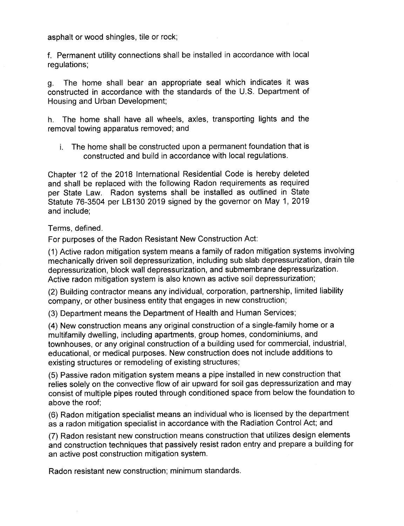asphalt or wood shingles, tile or rock;

f. Permanent utility connections shall be installed in accordance with local regulations;

g. The home shall bear an appropriate seal which indicates it was constructed in accordance with the standards of the U. S. Department of Housing and Urban Development;

h. The home shall have all wheels, axles, transporting lights and the removal towing apparatus removed; and

i. The home shall be constructed upon a permanent foundation that is constructed and build in accordance with local regulations.

Chapter 12 of the 2018 International Residential Code is hereby deleted and shall be replaced with the following Radon requirements as required per State Law. Radon systems shall be installed as outlined in State Statute 76- 3504 per LB130 2019 signed by the governor on May 1, 2019 and include;

Terms, defined.

For purposes of the Radon Resistant New Construction Act:

1) Active radon mitigation system means a family of radon mitigation systems involving mechanically driven soil depressurization, including sub slab depressurization, drain tile depressurization, block wall depressurization, and submembrane depressurization. Active radon mitigation system is also known as active soil depressurization;

2) Building contractor means any individual, corporation, partnership, limited liability company, or other business entity that engages in new construction;

3) Department means the Department of Health and Human Services;

4) New construction means any original construction of a single-family home or a multifamily dwelling, including apartments, group homes, condominiums, and townhouses, or any original construction of a building used for commercial, industrial, educational, or medical purposes. New construction does not include additions to existing structures or remodeling of existing structures;

5) Passive radon mitigation system means a pipe installed in new construction that relies solely on the convective flow of air upward for soil gas depressurization and may consist of multiple pipes routed through conditioned space from below the foundation to above the roof;

6) Radon mitigation specialist means an individual who is licensed by the department as a radon mitigation specialist in accordance with the Radiation Control Act; and

7) Radon resistant new construction means construction that utilizes design elements and construction techniques that passively resist radon entry and prepare a building for an active post construction mitigation system.

Radon resistant new construction; minimum standards.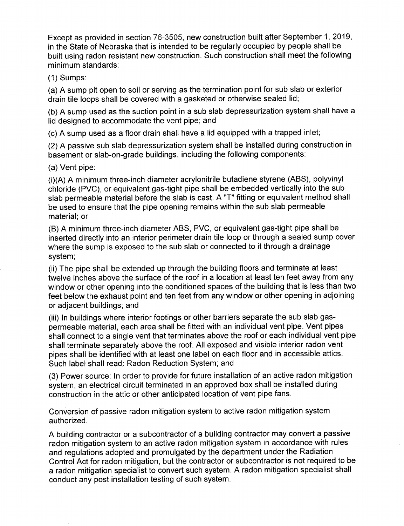Except as provided in section 76-3505, new construction built after September 1, 2019, in the State of Nebraska that is intended to be regularly occupied by people shall be built using radon resistant new construction. Such construction shall meet the following minimum standards:

1) Sumps:

a) A sump pit open to soil or serving as the termination point for sub slab or exterior drain tile loops shall be covered with a gasketed or otherwise sealed lid;

b) A sump used as the suction point in a sub slab depressurization system shall have a lid designed to accommodate the vent pipe; and

c) A sump used as a floor drain shall have a lid equipped with a trapped inlet;

2) A passive sub slab depressurization system shall be installed during construction in basement or slab-on-grade buildings, including the following components:

a) Vent pipe:

(i)(A) A minimum three-inch diameter acrylonitrile butadiene styrene (ABS), polyvinyl chloride (PVC), or equivalent gas-tight pipe shall be embedded vertically into the sub slab permeable material before the slab is cast. A "T" fitting or equivalent method shall be used to ensure that the pipe opening remains within the sub slab permeable material; or

B) A minimum three-inch diameter ABS, PVC, or equivalent gas-tight pipe shall be inserted directly into an interior perimeter drain tile loop or through a sealed sump cover where the sump is exposed to the sub slab or connected to it through a drainage system;

ii) The pipe shall be extended up through the building floors and terminate at least twelve inches above the surface of the roof in a location at least ten feet away from any window or other opening into the conditioned spaces of the building that is less than two feet below the exhaust point and ten feet from any window or other opening in adjoining or adjacent buildings; and

iii) In buildings where interior footings or other barriers separate the sub slab gaspermeable material, each area shall be fitted with an individual vent pipe. Vent pipes shall connect to a single vent that terminates above the roof or each individual vent pipe shall terminate separately above the roof. All exposed and visible interior radon vent pipes shall be identified with at least one label on each floor and in accessible attics. Such label shall read: Radon Reduction System; and

3) Power source: In order to provide for future installation of an active radon mitigation system, an electrical circuit terminated in an approved box shall be installed during construction in the attic or other anticipated location of vent pipe fans.

Conversion of passive radon mitigation system to active radon mitigation system authorized.

A building contractor or a subcontractor of a building contractor may convert a passive radon mitigation system to an active radon mitigation system in accordance with rules and regulations adopted and promulgated by the department under the Radiation Control Act for radon mitigation, but the contractor or subcontractor is not required to be a radon mitigation specialist to convert such system. A radon mitigation specialist shall conduct any post installation testing of such system.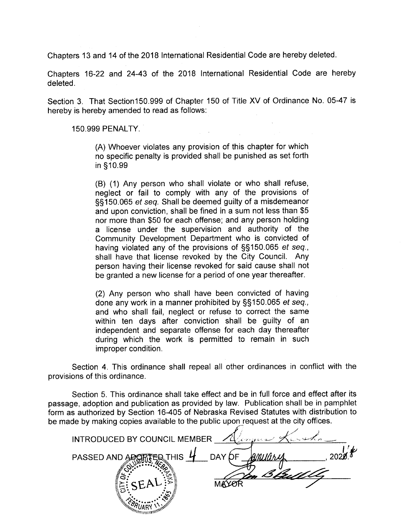Chapters 13 and 14 of the 2018 International Residential Code are hereby deleted.

Chapters 16-22 and 24-43 of the 2018 International Residential Code are hereby deleted.

Section 3. That Section150. 999 of Chapter 150 of Title XV of Ordinance No. 05-47 is hereby is hereby amended to read as follows:

150. 999 PENALTY.

A) Whoever violates any provision of this chapter for which no specific penalty is provided shall be punished as set forth in § 10. 99

B) ( 1) Any person who shall violate or who shall refuse, neglect or fail to comply with any of the provisions of 150. 065 et seq. Shall be deemed guilty of a misdemeanor and upon conviction, shall be fined in a sum not less than \$5 nor more than \$50 for each offense; and any person holding a license under the supervision and authority of the Community Development Department who is convicted of having violated any of the provisions of §§150.065 et seq., shall have that license revoked by the City Council. Any person having their license revoked for said cause shall not be granted a new license for a period of one year thereafter.

2) Any person who shall have been convicted of having done any work in <sup>a</sup> manner prohibited by §§ 150. 065 et seq., and who shall fail, neglect or refuse to correct the same within ten days after conviction shall be guilty of an independent and separate offense for each day thereafter during which the work is permitted to remain in such improper condition.

Section 4. This ordinance shall repeal all other ordinances in conflict with the provisions of this ordinance.

Section 5. This ordinance shall take effect and be in full force and effect after its passage, adoption and publication as provided by law. Publication shall be in pamphlet form as authorized by Section 16-405 of Nebraska Revised Statutes with distribution to be made by making copies available to the public upon request at the city offices.

| INTRODUCED BY COUNCIL MEMBER<br>しどうひ             |
|--------------------------------------------------|
| Anyary<br>DAY OF<br>PASSED AND ADY<br><b>HIS</b> |
|                                                  |
| ري.<br>الخا                                      |
|                                                  |